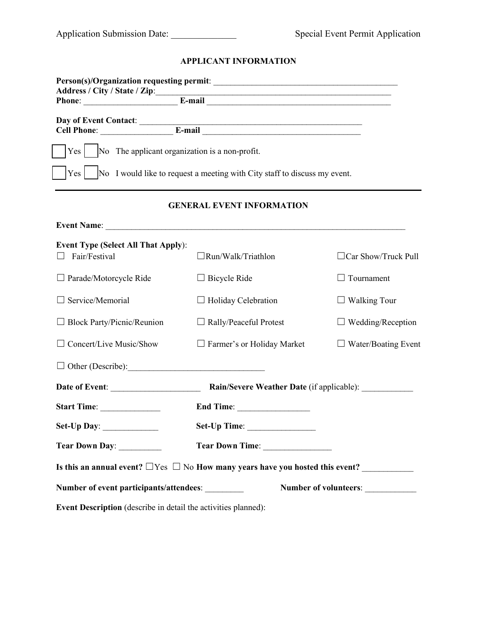# **APPLICANT INFORMATION**

| Address / City / State / Zip:<br>Phone: E-mail E-mail                                    |                                                                                 |                            |  |  |
|------------------------------------------------------------------------------------------|---------------------------------------------------------------------------------|----------------------------|--|--|
|                                                                                          |                                                                                 |                            |  |  |
| No The applicant organization is a non-profit.<br>Yes                                    |                                                                                 |                            |  |  |
|                                                                                          | Yes   No I would like to request a meeting with City staff to discuss my event. |                            |  |  |
|                                                                                          | <b>GENERAL EVENT INFORMATION</b>                                                |                            |  |  |
|                                                                                          |                                                                                 |                            |  |  |
| <b>Event Type (Select All That Apply):</b><br>Fair/Festival<br>$\Box$                    | $\Box$ Run/Walk/Triathlon                                                       | $\Box$ Car Show/Truck Pull |  |  |
| $\Box$ Parade/Motorcycle Ride                                                            | $\Box$ Bicycle Ride                                                             | $\Box$ Tournament          |  |  |
| $\Box$ Service/Memorial                                                                  | $\Box$ Holiday Celebration                                                      | $\Box$ Walking Tour        |  |  |
| $\Box$ Block Party/Picnic/Reunion                                                        | $\Box$ Rally/Peaceful Protest                                                   | $\Box$ Wedding/Reception   |  |  |
| $\Box$ Concert/Live Music/Show                                                           | $\Box$ Farmer's or Holiday Market                                               | $\Box$ Water/Boating Event |  |  |
|                                                                                          |                                                                                 |                            |  |  |
| Date of Event:<br><b>Rain/Severe Weather Date (if applicable):</b>                       |                                                                                 |                            |  |  |
| Start Time:                                                                              | End Time:                                                                       |                            |  |  |
|                                                                                          |                                                                                 |                            |  |  |
| Tear Down Day:                                                                           |                                                                                 |                            |  |  |
| Is this an annual event? $\Box$ Yes $\Box$ No How many years have you hosted this event? |                                                                                 |                            |  |  |
| Number of volunteers: _____________<br>Number of event participants/attendees:           |                                                                                 |                            |  |  |
| Event Description (describe in detail the activities planned):                           |                                                                                 |                            |  |  |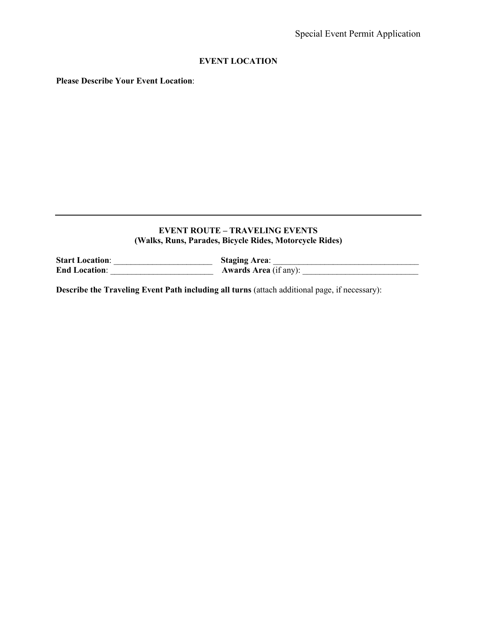## **EVENT LOCATION**

**Please Describe Your Event Location**:

## **EVENT ROUTE – TRAVELING EVENTS (Walks, Runs, Parades, Bicycle Rides, Motorcycle Rides)**

**Start Location**: \_\_\_\_\_\_\_\_\_\_\_\_\_\_\_\_\_\_\_\_\_\_\_ **Staging Area**: \_\_\_\_\_\_\_\_\_\_\_\_\_\_\_\_\_\_\_\_\_\_\_\_\_\_\_\_\_\_\_\_\_\_ **End Location**: \_\_\_\_\_\_\_\_\_\_\_\_\_\_\_\_\_\_\_\_\_\_\_\_ **Awards Area** (if any): \_\_\_\_\_\_\_\_\_\_\_\_\_\_\_\_\_\_\_\_\_\_\_\_\_\_\_

**Describe the Traveling Event Path including all turns** (attach additional page, if necessary):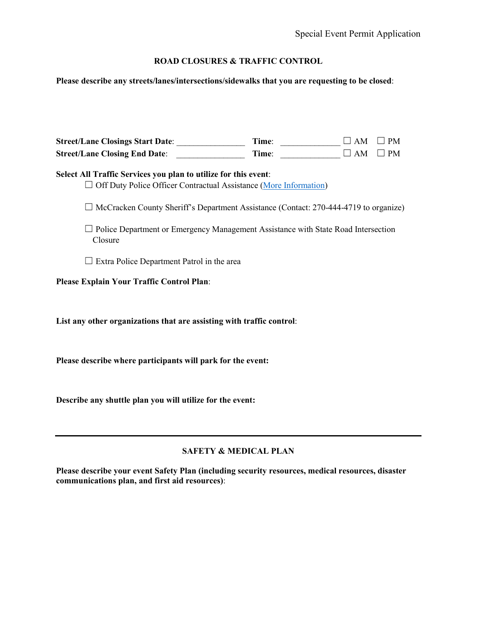# **ROAD CLOSURES & TRAFFIC CONTROL**

**Please describe any streets/lanes/intersections/sidewalks that you are requesting to be closed**:

| Street/Lane Closings Start Date: _________________<br><b>Street/Lane Closing End Date:</b>                                                          | Time: | Time: $\begin{array}{c} \square \end{array}$<br>$\square$ AM | $\Box$ PM<br>$\Box$ PM |  |
|-----------------------------------------------------------------------------------------------------------------------------------------------------|-------|--------------------------------------------------------------|------------------------|--|
| Select All Traffic Services you plan to utilize for this event:<br>$\Box$ Off Duty Police Officer Contractual Assistance (More Information)         |       |                                                              |                        |  |
| $\Box$ McCracken County Sheriff's Department Assistance (Contact: 270-444-4719 to organize)                                                         |       |                                                              |                        |  |
| $\Box$ Police Department or Emergency Management Assistance with State Road Intersection<br>Closure                                                 |       |                                                              |                        |  |
| $\Box$ Extra Police Department Patrol in the area                                                                                                   |       |                                                              |                        |  |
| Please Explain Your Traffic Control Plan:                                                                                                           |       |                                                              |                        |  |
| List any other organizations that are assisting with traffic control:                                                                               |       |                                                              |                        |  |
| Please describe where participants will park for the event:                                                                                         |       |                                                              |                        |  |
| Describe any shuttle plan you will utilize for the event:                                                                                           |       |                                                              |                        |  |
| <b>SAFETY &amp; MEDICAL PLAN</b>                                                                                                                    |       |                                                              |                        |  |
| Please describe your event Safety Plan (including security resources, medical resources, disaster<br>communications plan, and first aid resources): |       |                                                              |                        |  |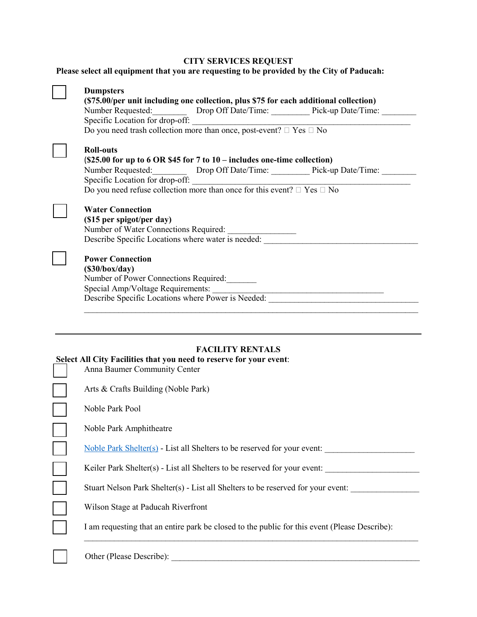#### **CITY SERVICES REQUEST**

## **Please select all equipment that you are requesting to be provided by the City of Paducah:**

| (\$75.00/per unit including one collection, plus \$75 for each additional collection)<br>Do you need trash collection more than once, post-event? $\Box$ Yes $\Box$ No                                                                                                                                             |
|--------------------------------------------------------------------------------------------------------------------------------------------------------------------------------------------------------------------------------------------------------------------------------------------------------------------|
| <b>Roll-outs</b><br>$(S25.00$ for up to 6 OR \$45 for 7 to 10 – includes one-time collection)<br>Number Requested: ___________ Drop Off Date/Time: ___________ Pick-up Date/Time: ________<br>Specific Location for drop-off:<br>Do you need refuse collection more than once for this event? $\Box$ Yes $\Box$ No |
| <b>Water Connection</b><br>(\$15 per spigot/per day)<br>Number of Water Connections Required:<br>Describe Specific Locations where water is needed:                                                                                                                                                                |
| <b>Power Connection</b><br>(S30/box/day)<br>Number of Power Connections Required:<br>Describe Specific Locations where Power is Needed:                                                                                                                                                                            |
|                                                                                                                                                                                                                                                                                                                    |
| <b>FACILITY RENTALS</b><br><b>Select All City Facilities that you need to reserve for your event:</b><br>Anna Baumer Community Center                                                                                                                                                                              |
| Arts & Crafts Building (Noble Park)                                                                                                                                                                                                                                                                                |
| Noble Park Pool                                                                                                                                                                                                                                                                                                    |
| Noble Park Amphitheatre                                                                                                                                                                                                                                                                                            |
| Noble Park Shelter(s) - List all Shelters to be reserved for your event:                                                                                                                                                                                                                                           |
| Keiler Park Shelter(s) - List all Shelters to be reserved for your event:                                                                                                                                                                                                                                          |
| Stuart Nelson Park Shelter(s) - List all Shelters to be reserved for your event:                                                                                                                                                                                                                                   |
| Wilson Stage at Paducah Riverfront                                                                                                                                                                                                                                                                                 |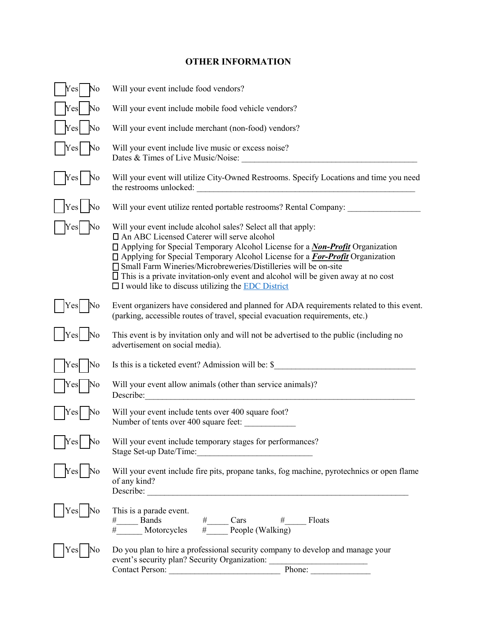# **OTHER INFORMATION**

| No<br>Yes  | Will your event include food vendors?                                                                                                                                                                                                                                                                                                                                                                                                                                                                                                |  |  |
|------------|--------------------------------------------------------------------------------------------------------------------------------------------------------------------------------------------------------------------------------------------------------------------------------------------------------------------------------------------------------------------------------------------------------------------------------------------------------------------------------------------------------------------------------------|--|--|
| No<br>Yes  | Will your event include mobile food vehicle vendors?                                                                                                                                                                                                                                                                                                                                                                                                                                                                                 |  |  |
| Yes<br>No  | Will your event include merchant (non-food) vendors?                                                                                                                                                                                                                                                                                                                                                                                                                                                                                 |  |  |
| Y es<br>١o | Will your event include live music or excess noise?<br>Dates & Times of Live Music/Noise:                                                                                                                                                                                                                                                                                                                                                                                                                                            |  |  |
| Yes<br>No  | Will your event will utilize City-Owned Restrooms. Specify Locations and time you need<br>the restrooms unlocked:<br><u> 1980 - John Stein, Amerikaansk politiker (</u>                                                                                                                                                                                                                                                                                                                                                              |  |  |
| Yes<br>No  | Will your event utilize rented portable restrooms? Rental Company: ________                                                                                                                                                                                                                                                                                                                                                                                                                                                          |  |  |
| Y es<br>lO | Will your event include alcohol sales? Select all that apply:<br>□ An ABC Licensed Caterer will serve alcohol<br>□ Applying for Special Temporary Alcohol License for a <i>Non-Profit</i> Organization<br>□ Applying for Special Temporary Alcohol License for a <b>For-Profit</b> Organization<br>□ Small Farm Wineries/Microbreweries/Distilleries will be on-site<br>$\Box$ This is a private invitation-only event and alcohol will be given away at no cost<br>$\Box$ I would like to discuss utilizing the <b>EDC</b> District |  |  |
| r es       | Event organizers have considered and planned for ADA requirements related to this event.<br>(parking, accessible routes of travel, special evacuation requirements, etc.)                                                                                                                                                                                                                                                                                                                                                            |  |  |
| Yes<br>Vо  | This event is by invitation only and will not be advertised to the public (including no<br>advertisement on social media).                                                                                                                                                                                                                                                                                                                                                                                                           |  |  |
| No<br>Yes  | Is this is a ticketed event? Admission will be: \$                                                                                                                                                                                                                                                                                                                                                                                                                                                                                   |  |  |
| r es       | Will your event allow animals (other than service animals)?<br>Describe:                                                                                                                                                                                                                                                                                                                                                                                                                                                             |  |  |
|            | Will your event include tents over 400 square foot?<br>Number of tents over 400 square feet:                                                                                                                                                                                                                                                                                                                                                                                                                                         |  |  |
|            | Will your event include temporary stages for performances?                                                                                                                                                                                                                                                                                                                                                                                                                                                                           |  |  |
|            | Will your event include fire pits, propane tanks, fog machine, pyrotechnics or open flame<br>of any kind?                                                                                                                                                                                                                                                                                                                                                                                                                            |  |  |
| Y es       | This is a parade event.<br>$\frac{\# \qquad \qquad \text{Bands}}{\# \qquad \qquad \text{Motorcycles}} \quad \frac{\# \qquad \qquad \text{Cars}}{\# \qquad \qquad \text{People} (\text{Walking})} \qquad \qquad \text{Floats}$                                                                                                                                                                                                                                                                                                        |  |  |
| Y es       | Do you plan to hire a professional security company to develop and manage your<br>event's security plan? Security Organization: __________________________________<br>Phone:<br>Contact Person:                                                                                                                                                                                                                                                                                                                                      |  |  |